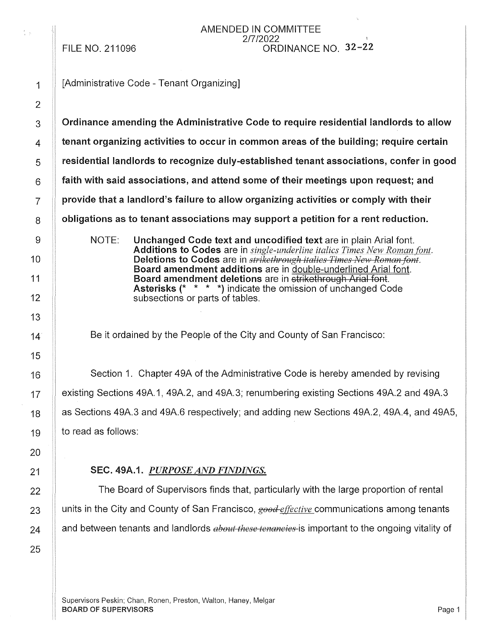FILE NO. 211096

### AMENDED IN COMMITTEE 2/7/2022 ORDINANCE NO. 32-22

 $\frac{4}{3}$  .  $\frac{1}{47}$ 

[Administrative Code - Tenant Organizing]

Ordinance amending the Administrative Code to require residential landlords to allow tenant organizing activities to occur in common areas of the building; require certain residential landlords to recognize duly-established tenant associations, confer in good faith with said associations, and attend some of their meetings upon request; and provide that a landlord's failure to allow organizing activities or comply with their obligations as to tenant associations may support a petition for a rent reduction. NOTE: Unchanged Code text and uncodified text are in plain Arial font. Additions to Codes are in *single-underline italics Times New Roman font*. Deletions to Codes are in *strikethrough italics Times New Roman font*. Board amendment additions are in double-underlined Arial font. Board amendment deletions are in strikethrough Arial font. Asterisks(\* \* \* \*) indicate the omission of unchanged Code subsections or parts of tables.

Be it ordained by the People of the City and County of San Francisco:

Section 1. Chapter 49A of the Administrative Code is hereby amended by revising existing Sections 49A.1, 49A.2, and 49A.3; renumbering existing Sections 49A.2 and 49A.3 as Sections 49A.3 and 49A.6 respectively; and adding new Sections 49A.2, 49A.4, and 49A5, to read as follows:

# SEC. 49A.1. *PURPOSE AND FINDINGS.*

The Board of Supervisors finds that, particularly with the large proportion of rental units in the City and County of San Francisco, *good-effective* communications among tenants and between tenants and landlords *about these tenancies* is important to the ongoing vitality of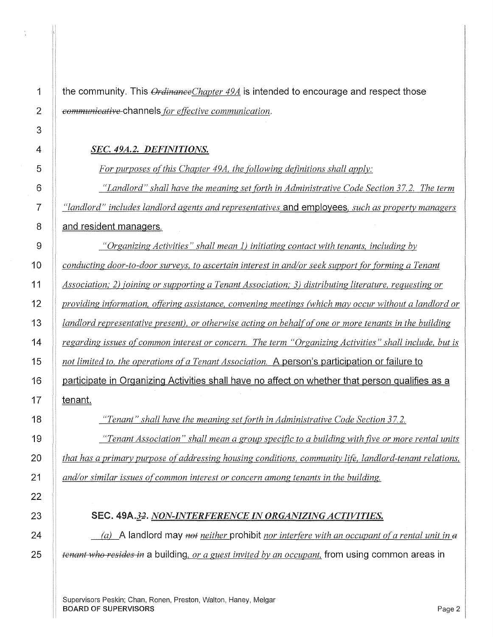**1 the community. This** *OrdinanceChapter 49A* **is intended to encourage and respect those**  *communicative* **channels** *for effective communication.* 

## *SEC. 49A.2. DEFINITIONS.*

*For purposes ofthis Chapter 49A, the following definitions shall apply:* 

*"Landlord" shall have the meaning set forth in Administrative Code Section 37.2. The term "landlord" includes landlord agents and representatives* **and employees,** *such as property managers*  **8 and resident managers.** 

*"Organizing Activities" shall mean 1) initiating contact with tenants, including bv conducting door-to-door surveys, to ascertain interest in and/or seek support for forming a Tenant Association; 2) joining or supporting a Tenant Association; 3) distributing literature, requesting or providing information, offering assistance, convening meetings (which may occur without a landlord or landlord representative present), or otherwise acting on behalf of one or more tenants in the building regarding issues of common interest or concern. The term "Organizing Activities" shall include, but is not limited to, the operations ofa Tenant Association.* **A person's participation or failure to 16 participate in Organizing Activities shall have no affect on whether that person qualifies as a 17 tenant.** 

*"Tenant" shall have the meaning set forth in Administrative Code Section 37.2.* 

*"Tenant Association" shall mean a group specific to a building with five or more rental units that has a primary purpose of addressing housing conditions, community* life, *landlord-tenant relations, and/or similar issues of common interest or concern among tenants in the building.* 

SEC. 49A.32. *NON-INTERFERENCE IN ORGANIZING ACTIVITIES.* 

*(a)* **A landlord may** *net neither* **prohibit** *nor interfere with an occupant ofa rental unit in e tenant who resides in a building, or a guest invited by an occupant, from using common areas in* 

Supervisors Peskin; Chan, Ronen, Preston, Walton, Haney, Melgar **BOARD OF SUPERVISORS** Page 2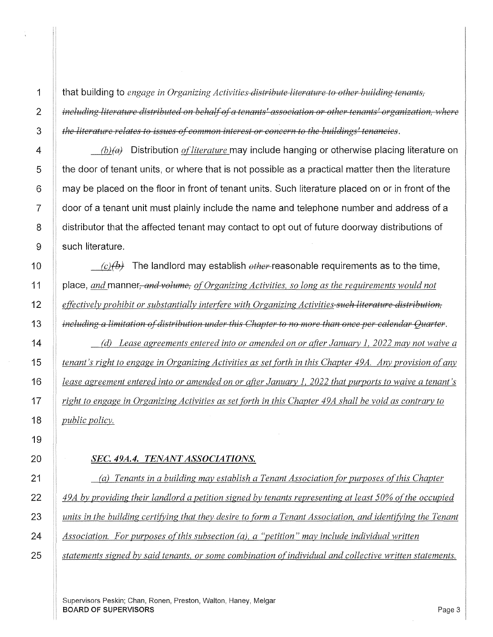that building to *engage in Organizing Activities distribute literature to other building tenants, including literature distributed on behalf of a tenants' association or other tenants' organization, where the literature relates to issues of common interest or concern to the buildings' tenancies.* 

*(b)(a)* Distribution *of literature* may include hanging or otherwise placing literature on the door of tenant units, or where that is not possible as a practical matter then the literature may be placed on the floor in front of tenant units. Such literature placed on or in front of the door of a tenant unit must plainly include the name and telephone number and address of a distributor that the affected tenant may contact to opt out of future doorway distributions of such literature.

 $\langle c \rangle$ (b) The landlord may establish  $other$ -reasonable requirements as to the time, place, *and* manner, *and volume*, *of Organizing Activities, so long as the requirements would not effectively prohibit or substantially interfere with Organizing Activities such literature distribution, including a limitation of distribution under this Chapter to no more than once per calendar Quarter.* 

*(d) Lease agreements entered into or amended on or after January 1, 2022 may not waive a tenant's right to engage in Organizing Activities as set forth in this Chapter 49A. Any provision of any lease agreement entered into or amended on or after January l, 2022 that purports to waive a tenant's right to engage in Organizing Activities as set forth in this Chapter 49A shall be void as contrary to public policy.* 

#### *SEC. 49A.4. TENANT ASSOCIATIONS.*

*(a) Tenants in a building may establish a Tenant Association for purposes ofthis Chapter*  49A by providing their landlord a petition signed by tenants representing at least 50% of the occupied *units in the building certifying that they desire to form a Tenant Association, and identifying the Tenant Association. For purposes ofthis subsection (a), a "petition" may include individual written statements signed by said tenants, or some combination of individual and collective written statements.* 

Supervisors Peskin; Chan, Ronen, Preston, Walton, Haney, Melgar BOARD OF SUPERVISORS Page 3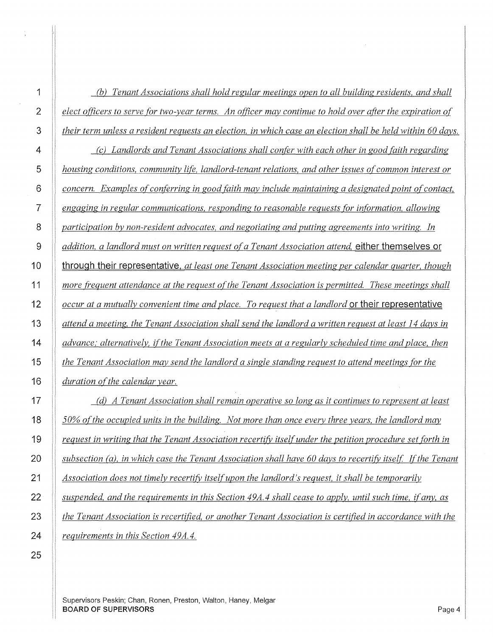*(b) Tenant Associations shall hold regular meetings open to all building residents, and shall elect officers to serve for two-year terms. An officer may continue to hold over after the expiration of their term unless a resident requests an election, in which case an election shall be held within 60 days. (c) Landlords and Tenant Associations shall confer with each other in good faith regarding housing conditions, community life, landlord-tenant relations, and other issues of common interest or concern. Examples of conferring in good faith may include maintaining a designated point of contact, engaging in regular communications, responding to reasonable requests (or information, allowing participation by non-resident advocates, and negotiating and putting agreements into writing. In addition, a landlord must on written request of a Tenant Association attend* **either themselves or through their representative.** *at least one Tenant Association meeting per calendar quarter, though more frequent attendance at the request ofthe Tenant Association is permitted. These meetings shall occur at a mutually convenient time and place. To request that a landlord* **or their representative**  *attend a meeting, the Tenant Association shall send the landlord a written request at least 14 days in advance; alternatively, ifthe Tenant Association meets at a regularly scheduled time and place, then* 

*the Tenant Association may send the landlord a single standing request to attend meetings for the duration of the calendar year.* 

*(d) A Tenant Association shall remain operative so long as it continues to represent at least 50% ofthe occupied units in the building. Not more than once every three years, the landlord may request in writing that the Tenant Association recertify itself under the petition procedure set forth in subsection (a), in which case the Tenant Association shall have 60 days to recertify itself. If the Tenant Association does not timely recertify itself upon the landlord's request, it shall be temporarily suspended, and the requirements in this Section 49A.4 shall cease to apply, until such time, if any, as the Tenant Association is recertified, or another Tenant Association is certified in accordance with the requirements in this Section 49A.4.* 

**1** 

Supervisors Peskin; Chan, Ronen, Preston, Walton, Haney, Melgar **BOARD OF SUPERVISORS** Page 4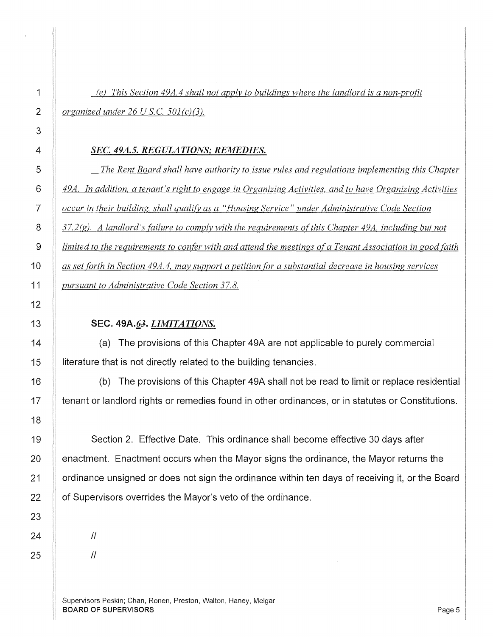# *(e) This Section 49A.4 shall not apply to buildings where the landlord is a non-profit organized under 26 U.S.C. 501(c)(3).*

#### *SEC. 49A.5. REGULATIONS,· REMEDIES.*

*The Rent Board shall have authority to issue rules and regulations implementing this Chapter 49A. In addition, a tenant's right to engage in Organizing Activities, and to have Organizing Activities occur in their building, shall qualifj; as a "Housing Service" under Administrative Code Section 37.2(g). A landlord's failure to comply with the requirements ofthis Chapter 49A, including but not limited to the requirements to confer with and attend the meetings of a Tenant Association in good faith as set forth in Section 49A. 4, may support a petition for a substantial decrease in housing services pursuant to Administrative Code Section 37.8.* 

# SEC. 49A.63. *LIMITATIONS.*

(a) The provisions of this Chapter 49A are not applicable to purely commercial literature that is not directly related to the building tenancies.

(b) The provisions of this Chapter 49A shall not be read to limit or replace residential tenant or landlord rights or remedies found in other ordinances, or in statutes or Constitutions.

Section 2. Effective Date. This ordinance shall become effective 30 days after enactment. Enactment occurs when the Mayor signs the ordinance, the Mayor returns the ordinance unsigned or does not sign the ordinance within ten days of receiving it, or the Board of Supervisors overrides the Mayor's veto of the ordinance.

 $\mathcal{U}$ 

 $\mathcal{U}$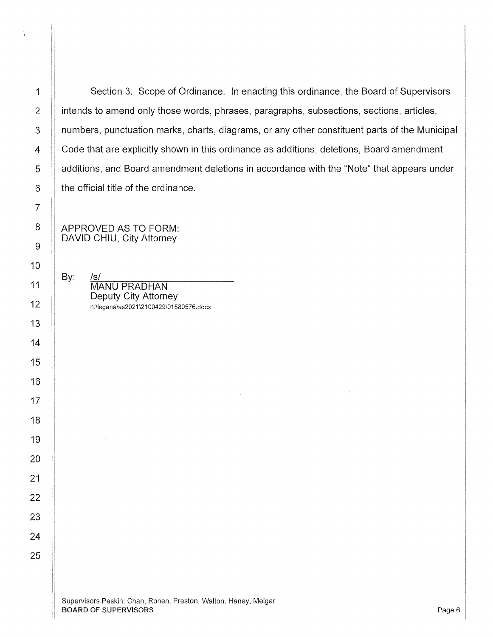:1

Section 3. Scope of Ordinance. In enacting this ordinance, the Board of Supervisors intends to amend only those words, phrases, paragraphs, subsections, sections, articles, numbers, punctuation marks, charts, diagrams, or any other constituent parts of the Municipal Code that are explicitly shown in this ordinance as additions, deletions, Board amendment additions, and Board amendment deletions in accordance with the "Note" that appears under the official title of the ordinance.

APPROVED AS TO FORM: DAVID CHIU, City Attorney

By: /s/  $MANU$  PRADHAN Deputy City Attorney n:\legana\as2021\2100429\01580576.docx